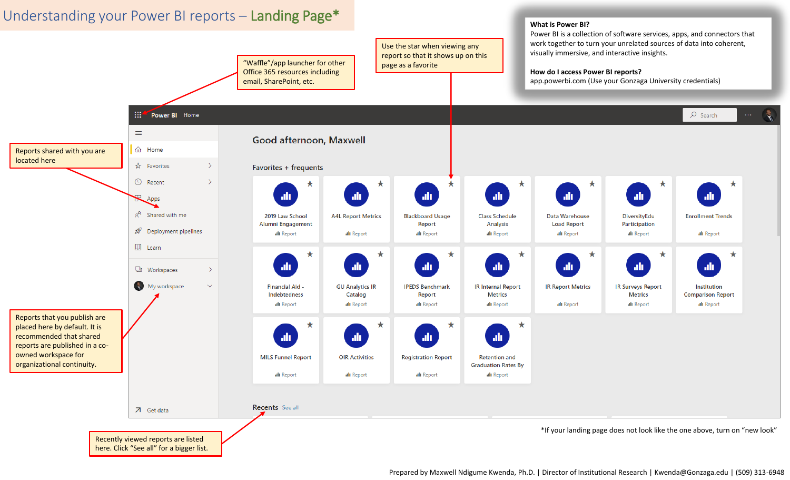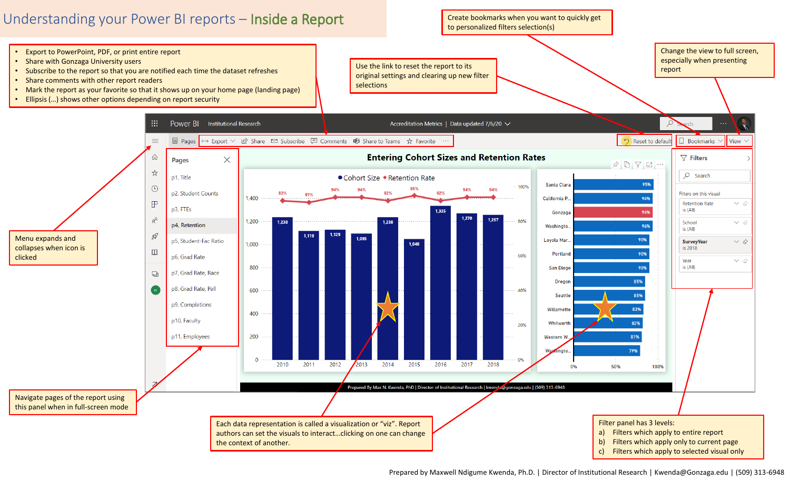